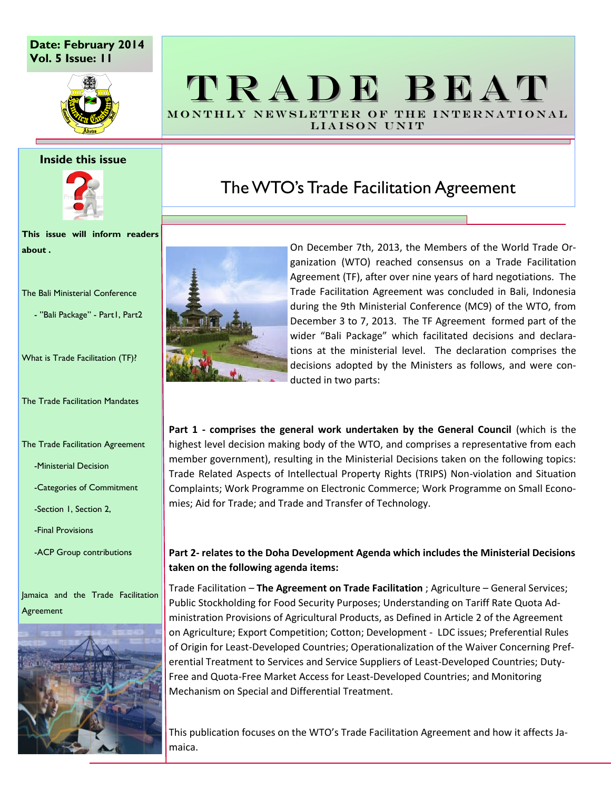### **Date: February 2014 Vol. 5 Issue: 11**



#### **Inside this issue**



**This issue will inform readers about .**

The Bali Ministerial Conference

- ''Bali Package" - Part1, Part2

What is Trade Facilitation (TF)?

The Trade Facilitation Mandates

The Trade Facilitation Agreement

-Ministerial Decision

-Categories of Commitment

-Section 1, Section 2,

-Final Provisions

-ACP Group contributions

Jamaica and the Trade Facilitation Agreement



## TRADE BEAT MONTHLY NEWSLETTER OF THE INTERNATIONAL

LIAISON UNIT

## The WTO's Trade Facilitation Agreement



On December 7th, 2013, the Members of the World Trade Organization (WTO) reached consensus on a Trade Facilitation Agreement (TF), after over nine years of hard negotiations. The Trade Facilitation Agreement was concluded in Bali, Indonesia during the 9th Ministerial Conference (MC9) of the WTO, from December 3 to 7, 2013. The TF Agreement formed part of the wider "Bali Package" which facilitated decisions and declarations at the ministerial level. The declaration comprises the decisions adopted by the Ministers as follows, and were conducted in two parts:

**Part 1 - comprises the general work undertaken by the General Council** (which is the highest level decision making body of the WTO, and comprises a representative from each member government), resulting in the Ministerial Decisions taken on the following topics: Trade Related Aspects of Intellectual Property Rights (TRIPS) Non-violation and Situation Complaints; Work Programme on Electronic Commerce; Work Programme on Small Economies; Aid for Trade; and Trade and Transfer of Technology.

### **Part 2- relates to the Doha Development Agenda which includes the Ministerial Decisions taken on the following agenda items:**

Trade Facilitation – **The Agreement on Trade Facilitation** ; Agriculture – General Services; Public Stockholding for Food Security Purposes; Understanding on Tariff Rate Quota Administration Provisions of Agricultural Products, as Defined in Article 2 of the Agreement on Agriculture; Export Competition; Cotton; Development - LDC issues; Preferential Rules of Origin for Least-Developed Countries; Operationalization of the Waiver Concerning Preferential Treatment to Services and Service Suppliers of Least-Developed Countries; Duty-Free and Quota-Free Market Access for Least-Developed Countries; and Monitoring Mechanism on Special and Differential Treatment.

This publication focuses on the WTO's Trade Facilitation Agreement and how it affects Jamaica.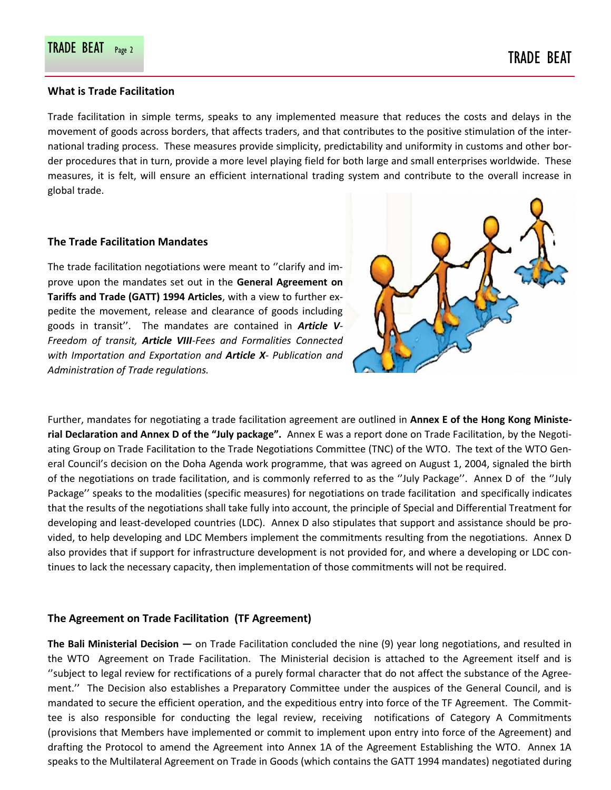#### **What is Trade Facilitation**

Trade facilitation in simple terms, speaks to any implemented measure that reduces the costs and delays in the movement of goods across borders, that affects traders, and that contributes to the positive stimulation of the international trading process. These measures provide simplicity, predictability and uniformity in customs and other border procedures that in turn, provide a more level playing field for both large and small enterprises worldwide. These measures, it is felt, will ensure an efficient international trading system and contribute to the overall increase in global trade.

#### **The Trade Facilitation Mandates**

The trade facilitation negotiations were meant to ''clarify and improve upon the mandates set out in the **General Agreement on Tariffs and Trade (GATT) 1994 Articles**, with a view to further expedite the movement, release and clearance of goods including goods in transit''. The mandates are contained in *Article V-Freedom of transit, Article VIII-Fees and Formalities Connected with Importation and Exportation and Article X- Publication and Administration of Trade regulations.* 



Further, mandates for negotiating a trade facilitation agreement are outlined in **Annex E of the Hong Kong Ministerial Declaration and Annex D of the "July package".** Annex E was a report done on Trade Facilitation, by the Negotiating Group on Trade Facilitation to the Trade Negotiations Committee (TNC) of the WTO. The text of the WTO General Council's decision on the Doha Agenda work programme, that was agreed on August 1, 2004, signaled the birth of the negotiations on trade facilitation, and is commonly referred to as the ''July Package''. Annex D of the ''July Package'' speaks to the modalities (specific measures) for negotiations on trade facilitation and specifically indicates that the results of the negotiations shall take fully into account, the principle of Special and Differential Treatment for developing and least-developed countries (LDC). Annex D also stipulates that support and assistance should be provided, to help developing and LDC Members implement the commitments resulting from the negotiations. Annex D also provides that if support for infrastructure development is not provided for, and where a developing or LDC continues to lack the necessary capacity, then implementation of those commitments will not be required.

### **The Agreement on Trade Facilitation (TF Agreement)**

**The Bali Ministerial Decision —** on Trade Facilitation concluded the nine (9) year long negotiations, and resulted in the WTO Agreement on Trade Facilitation. The Ministerial decision is attached to the Agreement itself and is ''subject to legal review for rectifications of a purely formal character that do not affect the substance of the Agreement.'' The Decision also establishes a Preparatory Committee under the auspices of the General Council, and is mandated to secure the efficient operation, and the expeditious entry into force of the TF Agreement. The Committee is also responsible for conducting the legal review, receiving notifications of Category A Commitments (provisions that Members have implemented or commit to implement upon entry into force of the Agreement) and drafting the Protocol to amend the Agreement into Annex 1A of the Agreement Establishing the WTO. Annex 1A speaks to the Multilateral Agreement on Trade in Goods (which contains the GATT 1994 mandates) negotiated during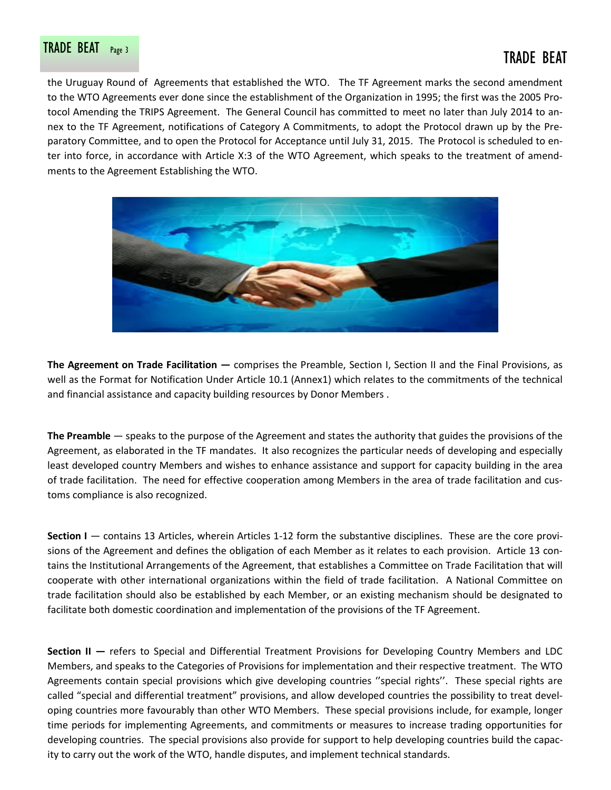# TRADE BEAT Page 3 TRADE BEAT

the Uruguay Round of Agreements that established the WTO. The TF Agreement marks the second amendment to the WTO Agreements ever done since the establishment of the Organization in 1995; the first was the 2005 Protocol Amending the TRIPS Agreement. The General Council has committed to meet no later than July 2014 to annex to the TF Agreement, notifications of Category A Commitments, to adopt the Protocol drawn up by the Preparatory Committee, and to open the Protocol for Acceptance until July 31, 2015. The Protocol is scheduled to enter into force, in accordance with Article X:3 of the WTO Agreement, which speaks to the treatment of amendments to the Agreement Establishing the WTO.



**The Agreement on Trade Facilitation —** comprises the Preamble, Section I, Section II and the Final Provisions, as well as the Format for Notification Under Article 10.1 (Annex1) which relates to the commitments of the technical and financial assistance and capacity building resources by Donor Members .

**The Preamble** — speaks to the purpose of the Agreement and states the authority that guides the provisions of the Agreement, as elaborated in the TF mandates. It also recognizes the particular needs of developing and especially least developed country Members and wishes to enhance assistance and support for capacity building in the area of trade facilitation. The need for effective cooperation among Members in the area of trade facilitation and customs compliance is also recognized.

**Section I** — contains 13 Articles, wherein Articles 1-12 form the substantive disciplines. These are the core provisions of the Agreement and defines the obligation of each Member as it relates to each provision. Article 13 contains the Institutional Arrangements of the Agreement, that establishes a Committee on Trade Facilitation that will cooperate with other international organizations within the field of trade facilitation. A National Committee on trade facilitation should also be established by each Member, or an existing mechanism should be designated to facilitate both domestic coordination and implementation of the provisions of the TF Agreement.

**Section II —** refers to Special and Differential Treatment Provisions for Developing Country Members and LDC Members, and speaks to the Categories of Provisions for implementation and their respective treatment. The WTO Agreements contain special provisions which give developing countries ''special rights''. These special rights are called "special and differential treatment" provisions, and allow developed countries the possibility to treat developing countries more favourably than other WTO Members. These special provisions include, for example, longer time periods for implementing Agreements, and commitments or measures to increase trading opportunities for developing countries. The special provisions also provide for support to help developing countries build the capacity to carry out the work of the WTO, handle disputes, and implement technical standards.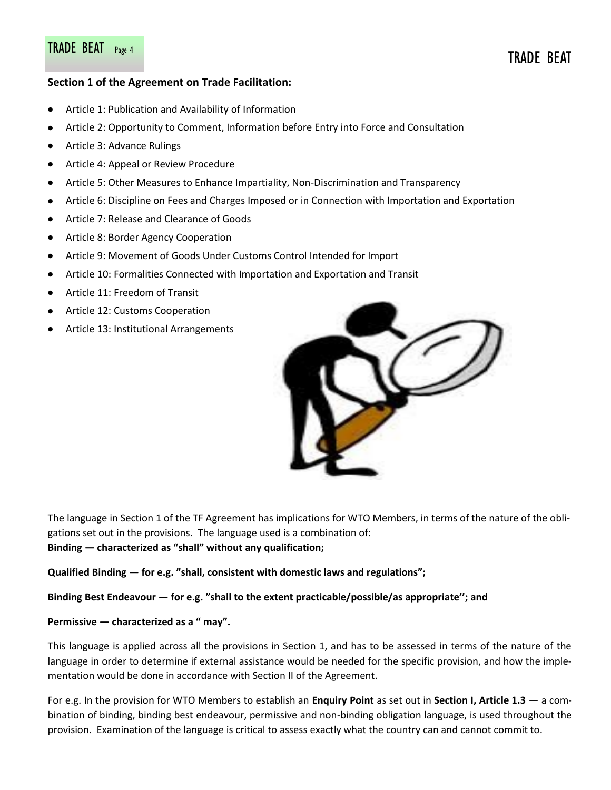# TRADE BEAT Page 4 TRADE BEAT PAGE 4 TRADE BEAT

### **Section 1 of the Agreement on Trade Facilitation:**

- Article 1: Publication and Availability of Information
- Article 2: Opportunity to Comment, Information before Entry into Force and Consultation  $\bullet$
- Article 3: Advance Rulings  $\bullet$
- $\bullet$ Article 4: Appeal or Review Procedure
- Article 5: Other Measures to Enhance Impartiality, Non-Discrimination and Transparency  $\bullet$
- Article 6: Discipline on Fees and Charges Imposed or in Connection with Importation and Exportation  $\bullet$
- $\bullet$ Article 7: Release and Clearance of Goods
- $\bullet$ Article 8: Border Agency Cooperation
- Article 9: Movement of Goods Under Customs Control Intended for Import  $\bullet$
- $\bullet$ Article 10: Formalities Connected with Importation and Exportation and Transit
- Article 11: Freedom of Transit  $\bullet$
- Article 12: Customs Cooperation
- Article 13: Institutional Arrangements



The language in Section 1 of the TF Agreement has implications for WTO Members, in terms of the nature of the obligations set out in the provisions. The language used is a combination of: **Binding — characterized as "shall" without any qualification;** 

**Qualified Binding — for e.g. "shall, consistent with domestic laws and regulations";**

#### **Binding Best Endeavour — for e.g. "shall to the extent practicable/possible/as appropriate''; and**

#### **Permissive — characterized as a " may".**

This language is applied across all the provisions in Section 1, and has to be assessed in terms of the nature of the language in order to determine if external assistance would be needed for the specific provision, and how the implementation would be done in accordance with Section II of the Agreement.

For e.g. In the provision for WTO Members to establish an **Enquiry Point** as set out in **Section I, Article 1.3** — a combination of binding, binding best endeavour, permissive and non-binding obligation language, is used throughout the provision. Examination of the language is critical to assess exactly what the country can and cannot commit to.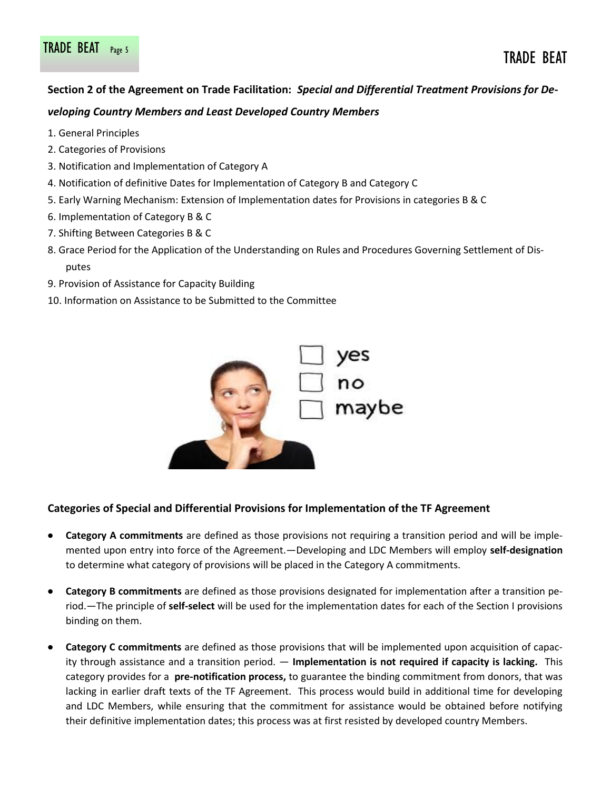### **Section 2 of the Agreement on Trade Facilitation:** *Special and Differential Treatment Provisions for Developing Country Members and Least Developed Country Members*

- 1. General Principles
- 2. Categories of Provisions
- 3. Notification and Implementation of Category A
- 4. Notification of definitive Dates for Implementation of Category B and Category C
- 5. Early Warning Mechanism: Extension of Implementation dates for Provisions in categories B & C
- 6. Implementation of Category B & C
- 7. Shifting Between Categories B & C
- 8. Grace Period for the Application of the Understanding on Rules and Procedures Governing Settlement of Disputes
- 9. Provision of Assistance for Capacity Building
- 10. Information on Assistance to be Submitted to the Committee



### **Categories of Special and Differential Provisions for Implementation of the TF Agreement**

- **Category A commitments** are defined as those provisions not requiring a transition period and will be imple- $\bullet$ mented upon entry into force of the Agreement.—Developing and LDC Members will employ **self-designation**  to determine what category of provisions will be placed in the Category A commitments.
- **Category B commitments** are defined as those provisions designated for implementation after a transition period.—The principle of **self-select** will be used for the implementation dates for each of the Section I provisions binding on them.
- **Category C commitments** are defined as those provisions that will be implemented upon acquisition of capacity through assistance and a transition period. — **Implementation is not required if capacity is lacking.** This category provides for a **pre-notification process,** to guarantee the binding commitment from donors, that was lacking in earlier draft texts of the TF Agreement. This process would build in additional time for developing and LDC Members, while ensuring that the commitment for assistance would be obtained before notifying their definitive implementation dates; this process was at first resisted by developed country Members.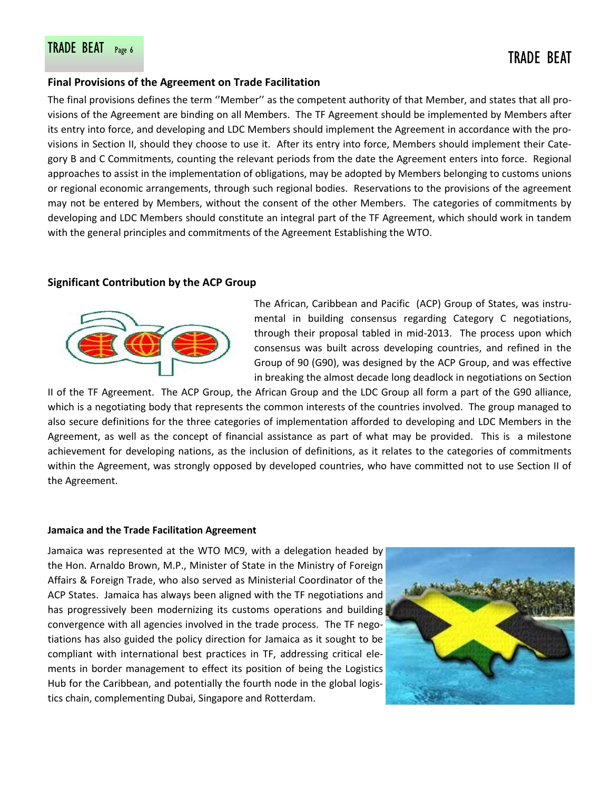#### **Final Provisions of the Agreement on Trade Facilitation**

The final provisions defines the term ''Member'' as the competent authority of that Member, and states that all provisions of the Agreement are binding on all Members. The TF Agreement should be implemented by Members after its entry into force, and developing and LDC Members should implement the Agreement in accordance with the provisions in Section II, should they choose to use it. After its entry into force, Members should implement their Category B and C Commitments, counting the relevant periods from the date the Agreement enters into force. Regional approaches to assist in the implementation of obligations, may be adopted by Members belonging to customs unions or regional economic arrangements, through such regional bodies. Reservations to the provisions of the agreement may not be entered by Members, without the consent of the other Members. The categories of commitments by developing and LDC Members should constitute an integral part of the TF Agreement, which should work in tandem with the general principles and commitments of the Agreement Establishing the WTO.

#### **Significant Contribution by the ACP Group**



The African, Caribbean and Pacific (ACP) Group of States, was instrumental in building consensus regarding Category C negotiations, through their proposal tabled in mid-2013. The process upon which consensus was built across developing countries, and refined in the Group of 90 (G90), was designed by the ACP Group, and was effective in breaking the almost decade long deadlock in negotiations on Section

II of the TF Agreement. The ACP Group, the African Group and the LDC Group all form a part of the G90 alliance, which is a negotiating body that represents the common interests of the countries involved. The group managed to also secure definitions for the three categories of implementation afforded to developing and LDC Members in the Agreement, as well as the concept of financial assistance as part of what may be provided. This is a milestone achievement for developing nations, as the inclusion of definitions, as it relates to the categories of commitments within the Agreement, was strongly opposed by developed countries, who have committed not to use Section II of the Agreement.

#### **Jamaica and the Trade Facilitation Agreement**

Jamaica was represented at the WTO MC9, with a delegation headed by the Hon. Arnaldo Brown, M.P., Minister of State in the Ministry of Foreign Affairs & Foreign Trade, who also served as Ministerial Coordinator of the ACP States. Jamaica has always been aligned with the TF negotiations and has progressively been modernizing its customs operations and building convergence with all agencies involved in the trade process. The TF negotiations has also guided the policy direction for Jamaica as it sought to be compliant with international best practices in TF, addressing critical elements in border management to effect its position of being the Logistics Hub for the Caribbean, and potentially the fourth node in the global logistics chain, complementing Dubai, Singapore and Rotterdam.